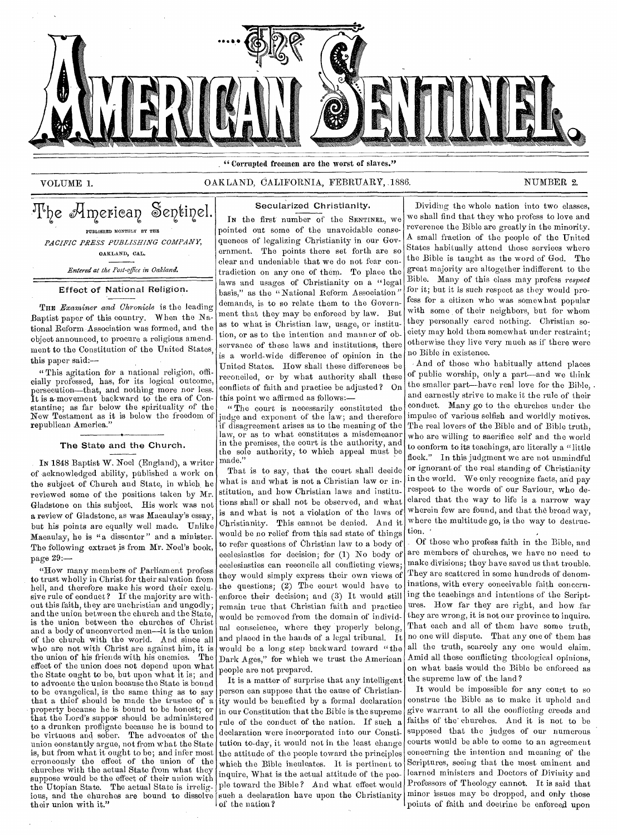

" Corrupted freemen are the worst of slaves."

# VOLUME 1. CAKLAND, CALIFORNIA, FEBRUARY, 1886. NUMBER 2.

The American Sentinel. PUBLISHED MONTHLY BY THE *PACIFIC PRESS PUBLISHING COMPANY,*  OAKLAND, CAL.

*Entered at the Post-office in Oakland.* 

Effect of National Religion.

THE *Examiner and Chronicle is* the leading Baptist paper of this country. When the National Reform Association was formed, and the object announced, to procure a religious amendment to the Constitution of the United States, this paper said:—

" This agitation for a national religion, officially professed, has, for its logical outcome, persecution—that, and nothing more nor less. It is a movement backward to the era of Constantine; as far below the spirituality *of* the New Testament as it is below the freedom of republican America.'

#### The State and the Church.

IN 1848 Baptist W. Noel (England), a writer of acknowledged ability, published a work on the subject of Church and State, in which, he reviewed some of the positions taken by Mr. Gladstone on this subject. His work was not a review of Gladstone, as was Macaulay's essay, but his points are equally well made. Unlike Macaulay, he is "a dissenter" and a minister. The following extract is from Mr. Noel's book, page 29:

"How many members of Parliament profess to trust wholly in Christ for their salvation from hell, and therefore make his word their exclusive rule of eonduct? If the majority are without this faith, they are unchristian and ungodly; and the union between the church and the State, is the union between the churches of Christ and a body of unconverted men—it is the union of the church with the world. And since all who are not with Christ are against him, it is the union of his friends with his enemies. The the union of his friends with his enemies. effect of the union does not depend upon what the State ought to be, but upon what it is; and to advocate the union because the State is bound to be evangelical, is the same thing as to say that a thief should be made the trustee of a property because he is bound to be honest; or that the Lord's supper should be administered to a drunken profligate because he is bound to be virtuous and sober. The advocates of the union constantly argue, not from what the State is, but from what it ought to be; and infer most erroneously the effect of the union of the churches with the actual State from what they suppose would be the effect of their union with the Utopian State. The actual State is irreligious, and the churches are bound to dissolve their union with it."

### Secularized Christianity.

In the first number of the SENTINEL, we pointed out some of the unavoidable consequences of legalizing Christianity in our Government. The points there set forth are so clear and undeniable that we do not fear contradiction on any one of them. To place the laws and usages of Christianity on a "legal basis," as the " National Reform Association " demands, is to so relate them to the Government that they may be enforced by law. But as to what is Christian law, usage, or institution, or as to the intention and manner of observance of these laws and institutions, there is a world-wide difference of opinion in the United States. How shall these differences be reconciled, or by what authority shall these eonfliets of faith and practiee be adjusted? On this point we affirmed as follows:—

"The court is necessarily eonstituted the judge and exponent of the law; and therefore if disagreement arises as to the meaning of the law, or as to what constitutes a misdemeanor in the premises, the court is the authority, and the sole authority, to which appeal must be made."

That is to say, that the court shall decide what is and what is not a Christian law or institution, and how Christian laws and institutions shall or shall not be observed, and what is and what is not a violation of the laws of Christianity. This cannot be denied. And it would be no relief from this sad state of things to refer questions of Christian law to a body of ecelesiastics for decision; for (1) No body of ecelesiastics can reconcile all conflicting views; they would simply express their own views of the questions; (2) The court would have to enforce their decision; and (3) It would still remain true that Christian faith and practice would be removed from the domain of individual conscience, where they properly belong, and placed in the hands of a legal tribunal. It would be a long step backward toward "the Dark Ages," for which we trust the American people are not prepared.

It is a matter of surprise that any intelligent person can suppose that the cause of Christianity would be benefited by a formal declaration in our Constitution that the Bible is the supreme rule of the conduct of the nation. If such a declaration were incorporated into our Constitution to-day, it would not in the least change the attitude of the people toward the principles which the Bible inculcates. It is pertinent to inquire, What is the actual attitude of the people toward the Bible? And what effect would such a declaration have upon the Christianity of the nation?

Dividing the whole nation into two classes, we shall find that they who profess to love and reverence the Bible are greatly in the minority. A small fraction of the people of the United States habitually attend those services where the Bible is taught as the word of God. The great majority are altogether indifferent to the Bible. Many of this class may profess *respect for* it; but it is such respect as they would profess for a citizen who was somewhat popular with some of their neighbors, but for whom they personally cared nothing. Christian society may hold them somewhat under restraint; otherwise they live very much as if there were no Bible in existenee.

And of those who habitually attend places of public worship, only a part--and we think the smaller part—have real love for the Bible, . and earnestly strive to make it the rule of their conduct. Many go to the churches under the impulse of various selfish and worldly motives. The real lovers of the Bible and of Bible truth, who are willing to sacrifice self and the world to eonform to its teachings, are literally a "little flock." In this judgment we are not unmindful or ignorant of the real standing of Christianity in the world. We only recognize facts, and pay respect to the words of our Saviour, who declared that the way to life is a narrow way wherein few are found, and that the broad way, where the multitude go, is the way to destruction.

\_ Of those who profess faith in the Bible, and are members of churches, we have no need to make divisions; they have saved us that trouble. They are scattered in some hundreds of denominations, with every eoneeivable faith eoncerning the teachings and intentions of the Serintures. How far they are right, and how far they are wrong, it is not our province to inquire. That each and all of them have some truth, no one will dispute. That any one of them has all the truth, scarcely any one would claim. Amid all these eonflicting theological opinions, on what basis would the Bible be enforced as the supreme law of the land?

It would be impossible for any court to so construe the Bible as to make it uphold and give warrant to all the conflicting creeds and faiths of the churches. And it is not to be supposed that the judges of our numerous courts would be able to come to an agreement concerning the intention and meaning of the Scriptures, seeing that the most eminent and learned ministers and Doctors of Divinity and Professors of Theology cannot. It is said that minor issues may be dropped, and only those points of faith and doctrine be enforced upon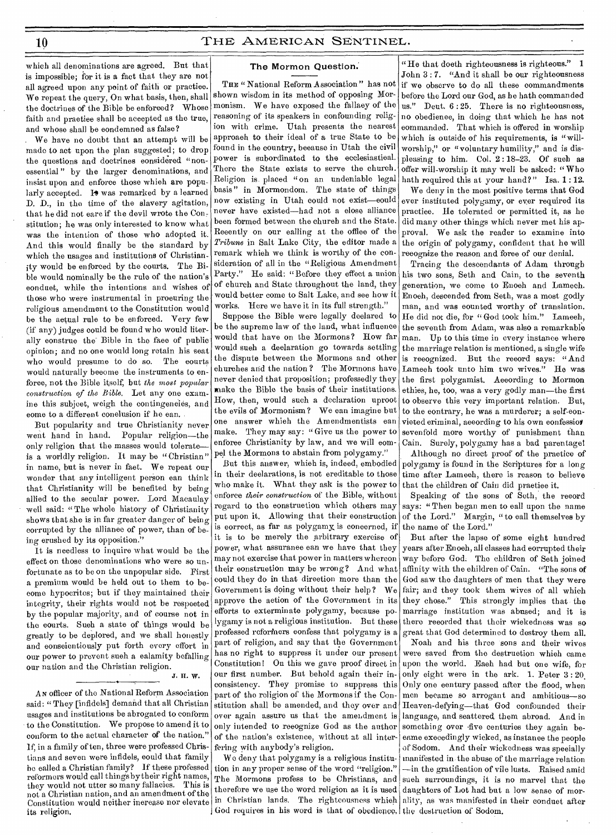which all denominations are agreed. But that is impossible; for it is a fact that they are not all agreed upon any point of faith or practice. We repeat the query, On what basis, then, shall the doctrines of the Bible be enforced? Whose faith and practice shall be accepted as the true, and whose shall be condemned as false?

We have no doubt that an attempt will be made to act upon the plan suggested; to drop the questions and doctrines eonsidered "nonessential" by the larger denominations, and insist upon and enforce those which are popularly accepted. It was remarked by a learned D. D., in the time of the slavery agitation, that he did not care if the devil wrote the Constitution; he was only interested to know what was the intention of those who adopted it. And this would finally be the standard by which the usages and institutions of Christianity would be enforced by the courts. The Bible would nominally be the rule of the nation's conduct, while the intentions and wishes of those who were instrumental in procuring the religious amendment to the Constitution would be the actual rule to be enforced. Very few (if any) judges could be found who would literally eonstrue the Bible in the face of public opinion; and no one would long retain his seat who would presume to do so. The eourts would naturally become the instruments to enforee, not the Bible itself, but the most popular *construction of the Bible.* Let any one examine this subject, weigh the contingencies, and eome to a different conclusion if he ean.

But popularity and true Christianity never went hand in hand. Popular religion—the only religion that the masses would tolerate is a worldly religion. It may be "Christian" in name, but is never in fact. We repeat our wonder that any intelligent person ean think that Christianity will be benefited by being allied to the secular power. Lord Macaulay well said: "The whole history of Christianity shows that she is in far greater danger of being corrupted by the alliance of power, than of being erushed by its opposition."

It is needless to inquire what would be the effect on those denominations who were so unfortunate as to be on the unpopular side. First a premium would be held out to them to become hypocrites; but if they maintained their integrity, their rights would not be respected by the popular majority, and of course not in the courts. Such a state of things would be greatly to be deplored, and we shall honestly and conscientiously put forth every effort in our power to prevent sueh a ealamity befalling our nation and the Christian religion.

# J. H. W.

AN officer of the National Reform Association said: " They [infidels] demand that all Christian usages and institutions be abrogated to conform to the Constitution. We propose to amend it to conform to the actual character of the nation." If, in a family of ten, three were professed Christians and seven were infidels, eould that family be called a Christian family? If these professed reformers would call things bytheir right names, they would not utter so many fallacies. This is not a Christian nation, and an amendment of the Constitution would neither increase nor elevate its religion,

## The Mormon Question.

THE " National Reform Association" has not shown wisdom in its method of opposing Mormonism. We have exposed the fallacy of the reasoning of its speakers in confounding religion with crime. Utah presents the nearest approach to their ideal of a true State to be found in the country, because in Utah the civil power is subordinated to the ecclesiastical. There the State exists to serve the church. Religion is. placed " on an undeniable legal basis" in Mormondom. The state of things now existing in Utah could not exist-eould never have existed—had not a close alliance been formed between the church and the State. Recently on our calling at the office of the *Tribune* in Salt Lake City, the editor made a remark which we think is worthy of the consideration of all in the "Religious Amendment Party." He said: "Before they effect a union of church and State throughout the land, they would better come to Salt Lake, and see how it works. Here we have it in its full strength."

Suppose the Bible were legally declared to be the supreme law of the land, what influence would that have on the Mormons? How far would such a declaration go towards settling the dispute between the Mormons and other churches arid the nation ? The Mormons have never denied that proposition; professedly they make the Bible the basis of their institutions. How, then, would such a declaration uproot the evils of Mormonism? We ean imagine but one answer which the Amendmentists can make. They may say: " Give us the power to enforce Christianity by law, and we will eompel the Mormons to abstain from polygamy."

But this answer, which is, indeed, embodied in their deelarations, is not ereditable to those who make it. What they ask is the power to enforce *their construction* of the Bible, without regard to the eonstruction which others may put upon it. Allowing that their eonstruction is eorrect, as far as polygamy is concerned, if it is to be merely the arbitrary exercise of power, what assurance can we have that they may not exercise that power in matters whereon their construction may be wrong? And what could they do in that direction more than the Government is doing without their help? We approve the action of the Government in its efforts to exterminate polygamy, because polygamy is not a religious institution. But these professed reforfners confess that polygamy is a part of religion, and say that the Government has no right to suppress it under our present Constitution! On this we gave proof direct in our first number. But behold again their inconsistency. They promise to suppress this part of the religion of the Mormons if the Constitution shall be amended, and they over and over again assure us that the amendment is only intended to recognize God as the author of the nation's existence, without at all interfering with anybody's religion.

We deny that polygamy is a religious institution in any proper sense of the word "religion." The Mormons profess to be Christians, and therefore we use the word religion as it is used daughters of Lot had but a low sense of mor-God requires in his word is that of obedience, the destruction of Sodom.

"He that doeth righteousness is righteous." 1 John 3:7. "And it shall be our righteousness if we observe to do all these commandments before the Lord our God, as he hath commanded us." Deut. 6 : 25. There is no righteousness, no obedience, in doing that which he has not commanded. That which is offered in worship which is outside of his requirements, is "willworship," or "voluntary humility," and is displeasing to him. Col. 2:18-23. Of such as offer will-worship it may well be asked: " Who hath required this at your hand?" Isa. 1:12.

We deny in the most positive terms that God ever instituted polygamy, or ever required its practice. He tolerated or permitted it, as he did many other things which never met his approval. We ask the reader to examine into the origin of polygamy, confident that he will recognize the reason and force of our denial.

Tracing the descendants of Adam through his two sons, Seth and Cain, to the seventh generation, we come to Enoeh and Lamech. Enoch, descended from Seth, was a most godly man, and was counted worthy of translation. He did not die, for "God took him." Lameeh, the seventh from Adam, was also a remarkable man. Up to this time in every instance where the marriage relation is mentioned, a single wife is recognized. But the record says: "And Lameeh took unto him two wives." He was the first polygamist. According to Mormon ethics, he, too, was a very godly man—the first to observe this very important relation. But, to the eontrary, he was a murderer; a self-eonvieted eriminal, according to his own confession sevenfold more worthy of punishment than Cain. Surely, polygamy has a bad parentage!

Although no direct proof of the practice of polygamy is found in the Scriptures for a long time after Lameeh, there is reason to believe that the children of Cain did praetiee it.

Speaking of the sons of Seth, the record says: "Then began men to eall upon the name of the Lord." Margin, "to eall themselves by the name of the Lord."

But after the lapse of some eight hundred years after Enoch, all classes had eorrupted their way before God. The children of Seth joined affinity with the children of Cain. "The sons of God saw the daughters of men that they were fair; and they took them wives of all which they chose." This strongly implies that the marriage institution was abused; and it is there recorded that their wickedness was so great that God determined to destroy them all.

in Christian lands. The righteousness which ality, as was manifested in their conduct after Noah and his three sons and their wives were saved from the destruction which came upon the world. Each had but one wife, for only eight were in the ark. 1. Peter 3 : 20. Only one century passed after the flood, when men became so arrogant and ambitious—so Heaven-defying—that God confounded their language, and seattered, them abroad. And in something over five centuries they again beeame execedingly wicked, as instance the people of Sodom. And their wickedness was speeially manifested in the abuse of the marriage relation —in the gratification of vile lusts. Raised amid such surroundings, it is no marvel that the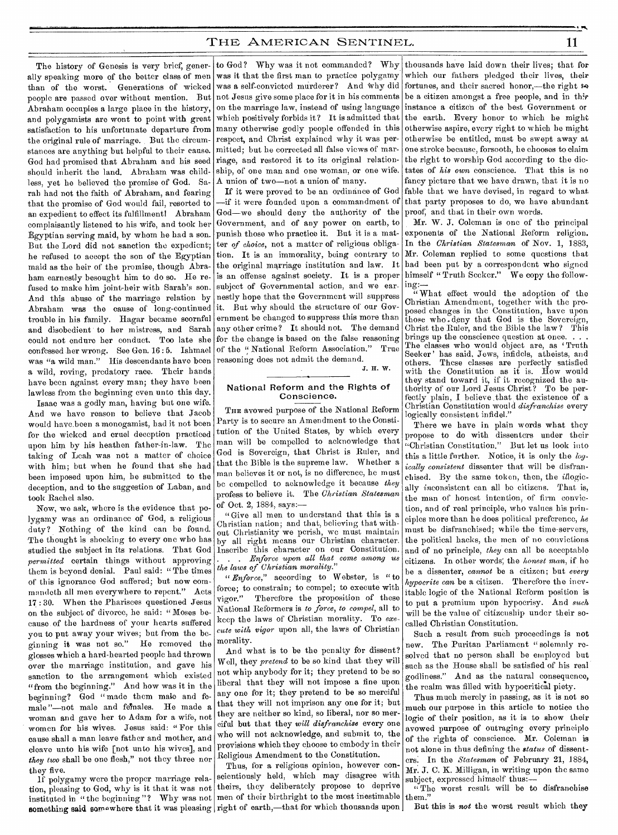The history of Genesis is very brief, generally speaking more of the better class of men than of the worst. Generations of wicked people are passed over without mention. But Abraham occupies a large place in the history, and polygamists are wont to point with great satisfaction to his unfortunate departure from the original rule of marriage. But the circumstances are anything but helpful to their cause. God had promised that Abraham and his seed should inherit the land. Abraham was childless, yet he believed the promise of God. Sarah had not the faith of Abraham, and fearing that the promise of God would fail, resorted to an expedient to effect its fulfillment! Abraham complaisantly listened to his wife, and took her Egyptian serving maid, by whom he bad a son. Bat the Lord did not sanction the expedient; he refused to accept the son of the Egyptian maid as the heir of the promise, though Abraham earnestly besought him to do so. He refused to make him joint-heir with Sarah's son. And this abuse of the marriage relation by Abraham was the cause of long-continued it. But why should the structure of our Govtrouble in his family. Hagar became scornful and disobedient to her mistress, and Sarah could not endure her conduct. Too late she confessed her wrong. See Gen. 16 : 5. Ishmael was "a wild man." His descendants have been a wild, roving, predatory race. Their hands have been against every man; they have been lawless from the beginning even unto this day.

Isaac was a godly man, having but one wife. And we have reason to believe that Jacob would have been a monogamist, had it not been for the wicked and cruel deception practiced upon him by his heathen father-in-law. The taking of Leah was not a matter of choice with him; but when he found that she had been imposed upon him, he submitted to the deception, and to the suggestion of Laban, and took Rachel also.

Now, we ask, where is the evidence that polygamy was an ordinance of God, a religious duty? Nothing of the kind can be found. The thought is shocking to every one who has studied the subject in its relations. That God *permitted* certain things without approving them is beyond denial. Paul said: " The times of this ignorance God suffered; but now commandeth all men everywhere to repent." Acts 17 : 30. When the Pharisees questioned Jesus on the subject of divorce, he said: "Moses because of the hardness of your hearts suffered you to put away your wives; but from the beginning it was not so." He removed the glosses which a hard-hearted people had thrown over the marriage institution, and gave his sanction to the arrangement which existed "from the beginning." And how was it in the beginning? God "made them male and female "--not male and females. He made a woman and gave her to Adam for a wife, not women for his wives. Jesus said: " For this cause shall a man leave father and mother, and cleave unto his wife [not unto his wives], and *they two* shall be one flesh," not they three nor they five.

If polygamy were the proper marriage relasomething said somewhere that it was pleasing right of earth,—that for which thousands upon

to God? Why was it not commanded? Why was it that the first man to practice polygamy was a self-convicted murderer? And Why did not Jesus give some place for it in his comments on the marriage law, instead of using language which positively forbids it? It is admitted that many otherwise godly people offended in this respect, and Christ explained why it was permitted; but he corrected all false views of marriage, and restored it to its original relationship, of one man and one woman, or one wife. A union of two—not a union of many.

If it were proved to be an ordinance of God —if it were founded upon a commandment of God—we should deny the authority of the Government, and of any power on earth, to punish those who practice it. But it is a matter of *choice,* not a matter of religious obligation. It is an immorality, being contrary to the original marriage institution and law. It is an offense against society. It is a proper subject of Governmental action, and we earnestly hope that the Government will suppress ernment be changed to suppress this more than any other crime? It should not. The demand for the change is based on the false reasoning of the " National Reform Association." True reasoning does not admit the demand.

J. H. W.

## National Reform and the Rights of Conscience.

THE avowed purpose of the National Reform Party is to secure an Amendment to the Constitution of the United States, by which every man will be compelled to acknowledge that God is Sovereign, that Christ is Ruler, and that the Bible is the supreme law. Whether a man believes it or not, is no difference, he must be compelled to acknowledge it because *they*  profess to believe it. The *Christian Statesman*  of Oct. 2, 1884, says:—

"Give all men to understand that this is a Christian nation; and that, believing that without Christianity we perish, we must maintain by all right means our Christian character. Inscribe this character on our Constitution. . . . *Enforce upon all that come among us the laws of Christian morality."* 

*"Enforce,"* according to Webster, is "to force; to constrain; to compel; to execute with vigor." Therefore the proposition of these National Reformers is *to force, to compel,* all to keep the laws of Christian morality. To *execute with vigor* upon all, the laws of Christian morality.

And what is to be the penalty for dissent? Well, they *pretend* to be so kind that they will not whip anybody for it; they pretend to be so liberal that they will not impose a fine upon any one for it; they pretend to be so merciful that they will not imprison any one for it; but they are neither so kind, so liberal, nor so merciful but that they *will disfranchise* every one who will not acknowledge, and submit to, the provisions which they choose to embody in their Religious Amendment to the Constitution.

tion, pleasing to God, why is it that it was not theirs, they deliberately propose to deprive instituted in "the beginning"? Why was not men of their birthright to the most inestimable Thus, for a religious opinion, however conscientiously held, which may disagree with

thousands have laid down their lives; that for which our fathers pledged their lives, their fortunes, and their sacred honor,—the right  $\leftrightarrow$ be a citizen amongst a free people, and in thir instance a citizen of the best Government or the earth. Every honor to which he might otherwise aspire, every right to which he might otherwise be entitled, must be swept away at one stroke because, forsooth, he chooses to claim the right to worship God according to the dictates of *his own* conscience. That this is no fancy picture that we have drawn, that it is no fable that we have devised, in regard to what that party proposes to do, we have abundant proof; and that in their own words.

Mr. W. J. Coleman is one of the principal exponents of the National Reform religion. In the *Christian Statesman* of Nov. 1, 1883, Mr. Coleman replied to some questions that had been put by a correspondent who signed himself "Truth Seeker." We copy the following:—

" What effect would the adoption of the Christian Amendment, together with the proposed changes in the Constitution, have upon those who deny that God is the Sovereign, Christ the Ruler, and the Bible the law? This brings up the conscience question at once. . . . The classes who would object are, as 'Truth Seeker' has said, Jews, infidels, atheists, and others. These classes are perfectly satisfied with the Constitution as it is. How would they stand toward it, if it recognized the authority of our Lord Jesus Christ? To be perfectly plain, I believe that the existence of a Christian Constitution would *disfranchise* every logically consistent infidel."

There we have in plain words what they propose to do with dissenters under their "Christian Constitution." But let us look into this a little further. Notice, it is only the *logically consistent* dissenter that will be disfranchised. By the same token, then, the *illogic*ally inconsistent can all bo citizens. That is, the man of honest intention, of firm conviction, and of real principle, who values his principles more than he does political preference, *he*  must be disfranchised; while the time-servers, the political hacks, the men of no convictions and of no principle, *they* can all be acceptable citizens. In other words', the *honest man,* if he be a dissenter, *cannot* be a citizen; but *every hypocrite can* be a citizen. Therefore the inevitable logic of the National Reform position is to put a premium upon hypocrisy. And *such*  will be the value of citizenship under their socalled Christian Constitution.

Such a result from such proceedings is not new. The Puritan Parliament " solemnly resolved that no person shall be employed but such as the House shall be satisfied of his real godliness." And as the natural consequence, the realm was filled with hypocritical piety.

Thus much merely in passing, as it is not so much our purpose in this article to notice the logic of their position, as it is to show their avowed purpose of outraging every principle of the rights of conscience. Mr. Coleman is not alone in thus defining the *status* of dissenters; In the *Statesman* of February 21, 1884, Mr. J. C. K. Milligan, in writing upon the same subject, expressed himself thus:

"The worst result will be to disfranchise them.

But this is *not* the worst result which they

**•**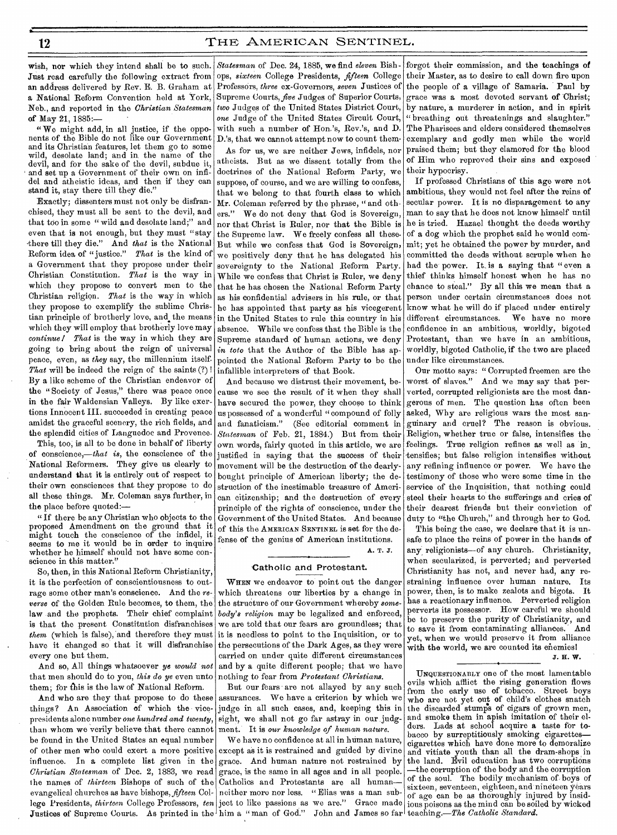Just read carefully the following extract from an address delivered by Rev. E. B. Graham at a National Reform Convention held at York, Supreme Courts, *five* Judges of Superior Courts, of May 21, 1885:—

" We might add, in all justice, if the opponents of the Bible do not like our Government and its Christian features, let them go to some wild, desolate land; and in the name of the devil, and for the sake of the devil, subdue it, and set up a Government of their own on infidel and atheistic ideas, and then if they can stand it, stay there till they die.'

Exactly; dissenters must not only be disfranchised, they must all be sent to the devil, and that too in some "wild and desolate land;" and even that is not enough, but they must "stay -there till they die." And *that* is the National Reform idea of " justice." *That* is the kind of a Government that they propose under their Christian Constitution. *That* is the way in which they propose to convert men to the Christian religion. *That* is the way in which they propose to exemplify the sublime Christian principle of brotherly love, and the means which they will employ that brotherly love may *continue/ That* is the way in which they are going to bring about the reign of universal peace, even, as *they* say, the millennium itself. *That* will be indeed the reign of the saints (?) I By a like scheme of the Christian endeavor of the "Society of Jesus," there was peace once in the fair Waldensian Valleys. By like exertions Innocent III. succeeded in creating peace amidst the graceful scenery, the rich fields, and the splendid cities of Languedoc and Provence.

This, too, is all to be done in behalf of liberty of conscience,—that *is,* the conscience of the National Reformers. They give us clearly to movement will be the destruction of the dearlyunderstand that it is entirely out of respect to their own consciences that they propose to do all these things. Mr. Coleman says further, in the place before quoted:—

" If there be any Christian who objects to the proposed Amendment on the ground that it might touch the conscience of the infidel, it seems to me it would be in order to inquire whether he himself should not have some conscience in this matter."

So, then, in this National Reform Christianity, it is the perfection of conscientiousness to outrage some other man's conscience. And the *reverse* of the Golden Rule becomes, to them, the law and the prophets. Their chief complaint is that the present Constitution disfranchises *them* (which is false), and therefore they must have it changed so that it will disfranchise every one but them.

And so, All things whatsoever *ye would not*  that men should do to you, *this do ye* even unto them; for this is the law of National Reform.

And who are they that propose to do these things? An Association of which the vicepresidents alone number *one hundred and twenty,*  than whom we verily believe that there cannot be found in the United States an equal number of other men who could exert a more positive influence. In a complete list given in the  $\emph{Christian Statesman}$  of Dec. 2, 1883, we read grace, is the same in all ages and in all people. the names of *thirteen* Bishops of such of the Catholics and Protestants are all human evangelical churches as have bishops, *fifteen* Col-neither more nor less. "Elias was a man sublege Presidents, *thirteen* College Professors, *ten* ject to like passions as we are." Grace made ious poisons as the mind can be soiled by wicked Justices of Supreme Courts. As printed in the him a "man of God." John and James so far teaching.—The *Catholic Standard*.

wish, nor which they intend shall be to such. *Statesman* of Dec. 24, 1885, we find *eleven* Bish-Neb., and reported in the *Christian Statesman two* Judges of the United States District Court, ops, *sixteen* College Presidents, *fifteen* College Professors, *three* ex-Governors, *seven* Justices of *one* Judge of the United States Circuit Court, with such a number of Hon.'s, Rev.'s, and D. D.'s, that we cannot attempt now to count them-

As for us, we are neither Jews, infidels, nor atheists. But as we dissent totally from the doctrines of the National Reform Party, we suppose, of course, and we are willing to confess, that we belong to that fourth class to which Mr. Coleman referred by the phrase, " and others." We do not deny that God is Sovereign, nor that Christ is Ruler, nor that the Bible is the Supreme law. We freely confess all these. But while we confess that God is Sovereign, we positively deny that be has delegated his sovereignty to the National Reform Party. While we confess that Christ is Ruler, we deny that he has chosen the National Reform Party in the United States to rule this country in his absence. While we confess that the Bible is the Supreme standard of human actions, we deny in toto that the Author of the Bible has appointed the National Reform Party to be the under like circumstances. infallible interpreters of that Book.

And because we distrust their movement, because we see the result of it when they shall have secured the power, they choose to think us possessed of a wonderful "compound of folly and fanaticism." (See editorial comment in *Statesman* of Feb. 21, 1884.) But from their own words, fairly quoted in this article, we are justified in saying that the success of their bought principle of American liberty; the destruction of the inestimable treasure of American citizenship; and the destruction of every principle of the rights of conscience, under the Government of the United States. And because of this the AMERICAN SENTINEL 15 set for the defense of the genius of American institutions.

A. T. J.

#### Catholic and Protestant.

WHEN we endeavor to point out the danger which threatens our liberties by a change in the structure of our Government whereby *somebody's religion* may be legalized and enforced, we are told that our fears are groundless; that it is needless to point to the Inquisition, or to the persecutions of the Dark Ages, as they were carried on under quite different circumstances and by a quite different people; that we have nothing to fear from *Protestant Christians.* 

But our fears are not allayed by any such assurances. We have a criterion by which we judge in all such cases, and, keeping this in sight, we shall not go far astray in our judgment. It is *our knowledge of human nature.* 

We have no confidence at all in human nature, except as it is restrained and guided by divine grace. And human nature not restrained by

forgot their commission, and the teachings of their Master, as to desire to call down fire upon the people of a village of Samaria. Paul by grace was a most devoted servant of Christ; by nature, a murderer in action, and in spirit " breathing out threatenings and slaughter." The Pharisees and elders considered themselves exemplary and godly men while the world praised them; but they clamored for the blood of Him who reproved their sins and exposed their hypocrisy.

as his confidential advisers in his rule, or that person under certain circumstances does not he has appointed that party as his vicegerent know what he will do if placed under entirely If professed Christians of this age were not ambitious, they would net feel after the reins of secular power. It is no disparagement to any man to say that he does not know himself until he is tried. Hazael thought the deeds worthy of a dog which the prophet said he would commit; yet he obtained the power by murder, and committed the deeds without scruple when he had the power. It is a saying that " even a thief thinks himself honest when he has no chance to steal." By all this we mean that a different circumstances. We have no more confidence in an ambitious, worldly, bigoted Protestant, than we have in an ambitious, worldly, bigoted Catholic, if the two are placed

> Our motto says: " Corrupted freemen are the worst of slaves." And we may say that perverted, corrupted religionists are the most dangerous of men. The question has often been asked, Why are religious wars the most sanguinary and cruel? The reason is obvious. Religion, whether true or false, intensifies the feelings. True religion refines as well as in\_ tensifies; but false religion intensifies without any refining influence or power. We have the testimony of those who were some time in the service of the Inquisition, that nothing could steel their hearts to the sufferings and cries of their dearest friends but their conviction of duty to "the Church," and through her to God.

> This being the case, we declare that it is unsafe to place the reins of power in the hands of any religionists-of any church. Christianity, when secularized, is perverted; and perverted Christianity has not, and never had, any restraining influence over human nature. Its power, then, is to make zealots and bigots. It has a reactionary influence. Perverted religion perverts its possessor. How careful we should be to preserve the purity of Christianity, and<br>to save it from contaminating alliances. And to save it from contaminating alliances. yet, when we would preserve it from alliance with the world, we are counted its enemies!

J. H. W.

UNQUESTIONABLY one of the most lamentable evils which afflict the rising generation flows from the early use of tobacco. Street boys who are not yet out of child's clothes snatch the discarded stumps of cigars of grown men, and smoke them in apish imitation of their el-<br>ders. Lads at school acquire a taste for to-Lads at school acquire a taste for tobacco by surreptitiously smoking cigarettes cigarettes which have done more to demoralize and vitiate youth than all the dram-shops in the land. Evil education has two corruptions —the corruption of the body and the corruption of the soul. The bodily mechanism of boys of sixteen, seventeen, eighteen, and nineteen years of age can be as thoroughly injured by insid-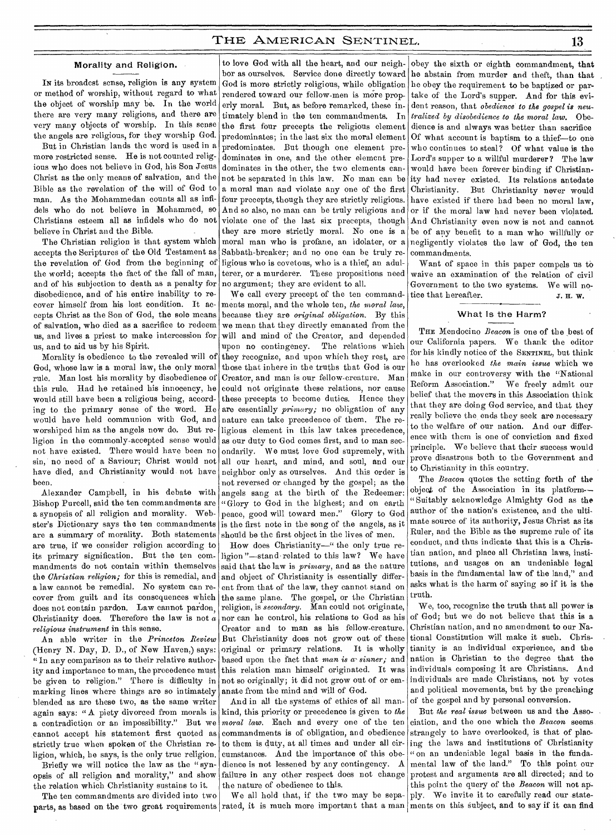# Morality and Religion.

IN its broadest sense, religion is any system or method of worship, without regard to what the object of worship may be. In the world there are very many religions, and there are very many objects of worship. In this sense the angels are religious, for they worship God.

But in Christian lands the word is used in a more restricted sense. He is not counted religious who does not believe in God, his Son Jesus Christ as the only means of salvation, and the Bible as the revelation of the will of God to man. As the Mohammedan counts all as infidels who do not believe in Mohammed, so Christians esteem all as infidels who do not believe in Christ and the Bible.

The Christian religion is that system which accepts the Scriptures of the Old Testament as the revelation of. God from the beginning of the world; accepts the fact of the fall of man, and of his subjection to death as a penalty for disobedience, and of his entire inability to recover himself from his lost condition. It accepts Christ as the Son of God, the sole means of salvation, who died as a sacrifice to redeem us, and lives a priest to make intercession for us, and to aid us by his Spirit.

Morality is obedience to the revealed will of God, whose law is a moral law, the only moral rule. Man lost his morality by disobedience of this rule. Had he retained his innocency, he would still have been a religious being, according to the primary sense of the word. He would have held communion with God, and worshiped him as the angels now do. But religion in the commonly-accepted sense would not have existed. There would have been no sin, no need of a Saviour; Christ would not have died, and Christianity would not have been.

Alexander Campbell, in his debate with Bishop Purcell, said the ten commandments are a synopsis of all religion and morality. Webster's Dictionary says the ten commandments are a summary of morality. Both statements are true, if we consider religion according to its primary signification. But the ten commandments do not contain within themselves the *Christian religion;* for this is remedial, and a law cannot be remedial. No system can recover from guilt and its consequences which does not contain pardon. Law cannot pardon, Christianity does. Therefore the law is not *a religious instrument* in this sense.

An able writer in the *Princeton Review*  (Henry N. Day, D. D., of New Haven,) says: " In any comparison as to their relative authority and importance to man, the precedence must be given to religion." There is difficulty in marking lines where things are so intimately blended as are these two, as the same writer again says: " A piety divorced from morals is a contradiction or an impossibility." But we cannot accept his statement first quoted as strictly true when spoken of the Christian religion, which, he says, is the only true religion.

Briefly we will notice the law as the " synopsis of all religion and morality," and show the relation which Christianity sustains to it.

The ten commandments are divided into two parts, as based on the two great requirements rated, it is much more important that a man ments on this subject, and to say if it can find

to love God with all the heart, and our neighbor as ourselves. Service done directly toward God is more strictly religious, while obligation rendered toward our fellow-men is more properly moral. But, as before remarked, these intimately blend in the ten commandments. In the first four precepts the religious element predominates; in the last six the moral element predominates. But though one element predominates in one, and the other element predominates in the other, the two elements cannot be separated in this law. No man can be a moral man and violate any one of the first four precepts, though they are strictly religious. And so also, no man can be truly religious and violate one of the last six precepts, though they are more strictly moral. No one is a moral man who is profane, an idolater, or a Sabbath-breaker; and no one can be truly religious who is covetous, who is a thief, an adulterer, or a murderer. These propositions need no argument; they are evident to all.

We call every precept of the ten commandments moral, and the whole ten, *the moral law,*  because they are *original obligation.* By this we mean that they directly emanated from the will and mind of the Creator, and depended upon no contingency. The relations which they recognize, and upon which they rest, are those that inhere in the truths that God is our Creator, and man is our fellow-creature. Man could not originate these relations, nor cause these precepts to become duties. Hence they are essentially *primary;* no obligation of any nature can take precedence of them. The religious element in this law takes precedence, as our duty to God comes first, and to man secondarily. We must love God supremely, with all our heart, and mind, and soul, and our neighbor only as ourselves. And this order is not reversed or changed by the gospel; as the angels sang at the birth of the Redeemer: "Glory to God in the highest; and on earth peace, good will toward men." Glory to God is the first note in the song of the angels, as it should be the first object in the lives of men.

How does Christianity—" the only true religion "—stand related to this law? We have said that the law is *primary,* and as the nature and object of Christianity is essentially different from that of the law, they cannot stand on the same plane. The gospel, or the Christian religion, is *secondary.* Man could not originate, nor can he control, his relations to God as his Creator and to man as his fellow-creature. But Christianity does not grow out of these original or primary relations. It is wholly based upon the fact that *man is a- sinner;* and this relation man himself originated. It was not so originally; it did not grow out of or emanate from the mind and will of God.

And in all the systems of ethics of all mankind, this priority or precedence is given to *the moral law.* Each and every one of the ten commandments is of obligation, and obedience to them is duty, at all times and under all circumstances. And the importance of this obedience is not lessened by any contingency. A failure in any other respect does not change the nature of obedience to this.

We all hold that, if the two may be sepa-

obey the sixth or eighth commandment, that he abstain from murder and theft, than that he obey the requirement to be baptized or partake of the Lord's supper. And for this evident reason, that *obedience to the gospel is neutralized by disobedience to the moral law.* Obedience is and always was better than sacrifice Of what account is baptism to a thief—to one who continues to steal? Of what value is the Lord's supper to a willful murderer ? The law would have been forever binding if Christianity had never existed. Its relations antedate Christianity. But Christianity never would have existed if there had been no moral law, or if the moral law had never been violated. And Christianity even now is not and cannot be of any benefit to a man who willfully or negligently violates the law of God, the ten commandments.

Want of space in this paper compels us to waive an examination of the relation of civil Government to the two systems. We will notice that hereafter.  $J.H. W.$ 

#### What Is the Harm?

THE Mendocino *Beacon* is one of the best of our California papers. We thank the editor for his kindly notice of the SENTINEL, but think he has overlooked *the main issue* which we make in our controversy with the "National Reform Association." We freely admit our belief that the movers in this Association think that they are doing God service, and that they really believe the ends they seek are necessary to the welfare of our nation. And our difference with them is one of conviction and fixed principle. We believe that their success would prove disastrous both to the Government and to Christianity in this country.

The *Beacon* quotes the setting forth of the object of the Association in its platform-- "Suitably acknowledge Almighty God as the author of the nation's existence, and the ultimate source of its authority, Jesus Christ as its Ruler, and the Bible as the supreme rule of its conduct, and thus indicate that this is a Christian nation, and place all Christian laws, institutions, and usages on an undeniable legal basis in the fundamental law of the land," and asks what is the harm of saying so if it is the truth.

We, too, recognize the truth that all power is of God; but we do not believe that this is a Christian nation, and no amendment to our National Constitution will make it such. Christianity is an individual experience, and the nation is Christian to the degree that the individuals composing it are Christians. And individuals are made Christians, not by votes and political movements, but by the preaching of the gospel and by personal conversion.

But *the real issue* between us and the Association, and the one which the *Beacon* seems strangely to have overlooked, is that of placing the laws and institutions of Christianity " on an undeniable legal basis in the fundamental law of the land." To this point our protest and arguments are all directed; and to this point the query of the *Beacon* will not apply. We invite it to carefully read our state-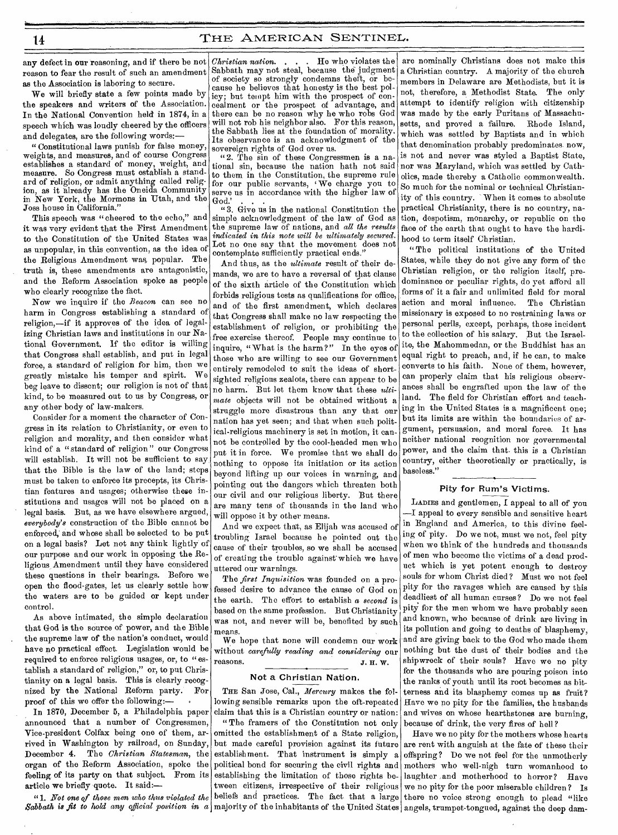any defect in our reasoning, and if there be not reason to fear the result of such an amendment as the Association is laboring to secure.

We will briefly state a few points made by the speakers and writers of the Association. In the National Convention held in 1874, in a speech which was loudly cheered by the officers and delegates, are the following words:—

" Constitutional laws punish for false money, weights, and measures, and of course Congress establishes a standard of money, weight, and measure. So Congress must establish a standard of religion, or admit anything called religion, as it already has the Oneida Community in New York, the Mormons in Utah, and the Joss house in California."

This speech was "cheered to the echo," and it was very evident that the First Amendment to the Constitution of the United States was as unpopular, in this convention, as the idea of the Religious Amendment was, popular. The truth is, these amendments are antagonistic, and the Reform Association spoke as people who clearly recognize the fact.

Now we inquire if the *Beacon* can see no harm in Congress establishing a standard of religion,—if it approves of the idea of legalizing Christian laws and institutions in our National Government. If the editor is willing that Congress shall establish, and put in legal force, a standard of religion for him, then we greatly mistake his temper and spirit. We beg leave to dissent; our religion is not of that kind, to be measured out to us by Congress, or any other body of law-makers.

Consider for a moment the character of Congress in its relation to Christianity, or even to religion and morality, and then consider what kind of a "standard of religion" our Congress will establish. It will not be sufficient to say that the Bible is the law of the land; steps must be taken to enforce its precepts, its Christian features and usages; otherwise these institutions and usages will not be placed on a legal basis. But, as we have elsewhere argued, *everybody's* construction of the Bible cannot be enforced, and whose shall be selected to be put on a legal basis? Let not any think lightly of our purpose and our work in opposing the Religious Amendment until they have considered these questions in their bearings. Before we open the flood-gates, let us clearly settle how the waters are to be guided or kept under control.

As above intimated, the simple declaration that God is the source of power, and the Bible the supreme law of the nation's conduct, would have no practical effect. Legislation would be required to enforce religious usages, or, to "establish a standard of religion," or, to put Christianity on a legal basis. This is clearly recognized by the National Reform party. For proof of this we offer the following:-

In 1870, December 5, a Philadelphia paper announced that a number of Congressmen, Vice-president Colfax being one of them, arrived in Washington by railroad, on Sunday, December 4. The *Christian Statesman,* the organ of the Reform Association, spoke the feeling of its party on that subject. From its article we briefly quote. It said:—

"1. *Not one of those men who thus violated the* 

*Christian nation. . .* He who violates the Sabbath may not steal, because the judgment of society so strongly condemns theft, or because he believes that honesty is the best policy; but tempt him with the prospect of concealment or the prospect of advantage, and there can be no reason why he who robs God will not rob his neighbor also. For this reason, the Sabbath lies at the foundation of morality. Its observance is an acknowledgment of the sovereign rights of God over us.

" 2. The sin of these Congressmen is a national sin, because the nation hath not said to them in the Constitution, the supreme rule for our public servants, We charge you to serve us in accordance with the higher law of God.'

"3. Give us in the national Constitution the simple acknowledgment of the law of God as the supreme law of nations, and *all the results indicated in this note will be ultimately secured.*  Let no one say that the movement does not contemplate sufficiently practical ends."

And thus, as the *ultimate* result of their demands, we are to have a reversal of that clause of the sixth article of the Constitution which forbids religious tests as qualifications for office, and of the first amendment, which declares that Congress shall make no law respecting the establishment of religion, or prohibiting the free exercise thereof. People may continue to inquire, " What is the harm?" In the eyes of those who are willing to see our Government entirely remodeled to suit the ideas of shortsighted religious zealots, there can appear to be no harm. But let them know that these *ultimate* objects will not be obtained without a struggle more disastrous than any that our nation has yet seen; and that when such political-religious machinery is set in motion, it cannot be controlled by the cool-headed men who put it in force. We promise that we shall do nothing to oppose its initiation or its action beyond lifting up our voices in warning, and pointing out the dangers which threaten both our civil and our religious liberty. But there are many tens of thousands in the land who will oppose it by other means.

And we expect that, as Elijah was accused of troubling Israel because be pointed out the cause of their troubles, so we shall be accused of creating the trouble against which we have uttered our warnings.

The *first Inquisition* was founded on a professed desire to advance the cause of God on the earth. The effort to establish a *second* is based on the same profession. But Christianity was not, and never will be, benefited by such means.

We hope that none will condemn our work without *carefully reading and considering* our reasons. J. H. W.

#### Not a Christian Nation.

THE San Jose, Cal., *Mercury* makes the following sensible remarks upon the oft-repeated claim that this is a Christian country or nation:

Sabbath is fit to hold any official position in a majority of the inhabitants of the United States " The framers of the Constitution not only omitted the establishment of a State religion, but made careful provision against its future establishment. That instrument is simply a political bond for securing the civil rights and establishing the limitation of those rights between citizens, irrespective of their religious beliefs and practices. The fact that a large

are nominally Christians does not make this a Christian country. A majority of the church members in Delaware are Methodists, but it is not, therefore, a Methodist State. The only attempt to identify religion with citizenship was made by the early Puritans of Massachusetts, and proved a failure. Rhode Island, which was settled by Baptists and in which that denomination probably predominates now, is not and never was styled a Baptist State, nor was Maryland, which was settled by Catholics, made thereby a Catholic commonwealth. So much for the nominal or technical Christianity of this country. When it comes to absolute practical Christianity, there is no country, nation, despotism, monarchy, or republic on the face of the earth that ought to have the hardihood to term itself Christian.

"The political institutions of the United States, while they do not give any form of the Christian religion, or the religion itself, predominance or peculiar rights, do yet afford all forms of it a fair and unlimited field for moral action and moral influence. The Christian missionary is exposed to no restraining laws or personal perils, except, perhaps, those incident to the collection of his salary. But the Israelite, the Mahommedan, or the Buddhist has an equal right to preach, and, if he can, to make converts to his faith. None of them, however, can properly claim that his religious observances shall be engrafted upon the law of the land. The field for Christian effort and teaching in the United States is a magnificent one; but its limits are within the boundaries of argument, persuasion, and moral force. It has neither national reognition nor governmental power, and the claim that- this is a Christian country, either theoretically or practically, is baseless."

### Pity for Rum's Victims.

LADIES and gentlemen, I appeal to all of you —I appeal to every sensible and sensitive heart in England and America, to this divine feeling of pity. Do we not, must we not, feel pity when we think of the hundreds and thousands of men who become the victims of a dead product which is yet potent enough to destroy souls for whom Christ died ? Must we not feel pity for the ravages which are caused by this deadliest of all human curses? Do we not feel pity for the men whom we have probably seen and known, who because of drink are living in its pollution and going to deaths of blasphemy, and are giving back to the God who made them nothing but the dust of their bodies and the shipwreck of their souls? Have we no pity for the thousands who are pouring poison into the ranks of youth until its root becomes as bitterness and its blasphemy comes up as fruit? Have we no pity for the families, the husbands and wives on whose hearthstones are burning, because of drink, the very fires of hell ?

Have we no pity for the mothers whose hearts are rent with anguish at the fate of these their offspring? Do we not feel for the unmotherly mothers who well-nigh turn womanhood to laughter and motherhood to horror? Have we no pity for the poor miserable children ? Is there no voice strong enough to plead "like angels, trumpet-tongued, against the deep dam-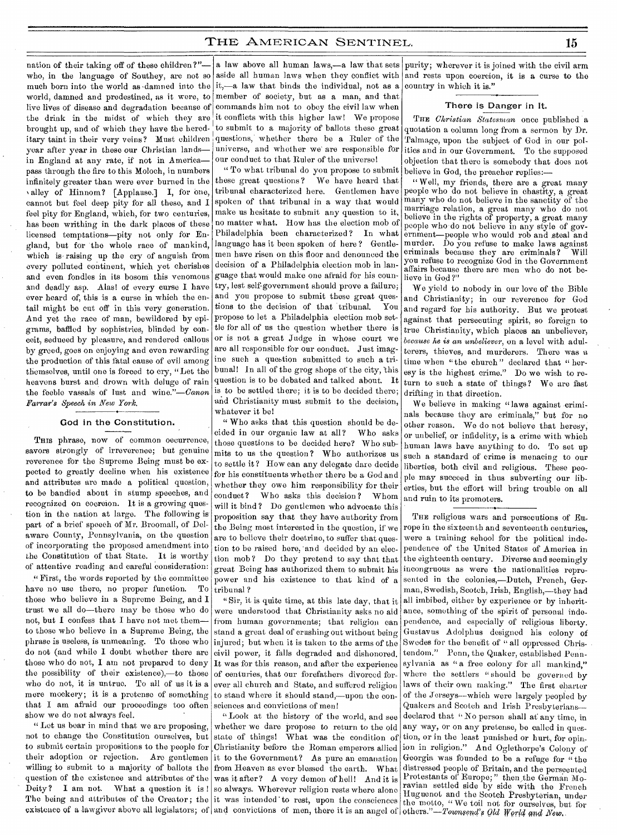nation of their taking off of these children?" who, in the language of Southey, are not so much born into the world as damned into the  $\left| i \right\rangle$ —a law that binds the individual, not as a world, damned and predestined, as it were, to member of society, but as a man, and that live lives of disease and degradation because of the drink in the midst of which they are brought up, and of which they have the hereditary taint in their very veins? Must children year after year in these our Christian lands in England at any rate, if not in America pass through the fire to this Moloch, in numbers infinitely greater than were ever burned in the valley of Hinnom? [Applause.] I, for one, cannot but feel deep pity for all these, and I feel pity for England, which, for two centuries, has been writhing in the dark places of these licensed temptations—pity not only for England, but for the whole race of mankind, which is raising up the cry of anguish from every polluted continent, which yet cherishes and even fondles in its bosom this venomous and deadly asp. Alas! of every curse I have ever heard of, this is a curse in which the entail might be cut off in this very generation. And yet the race of man, bewildered by epigrams, baffled by sophistries, blinded by conceit, seduced by pleasure, and rendered callous by greed, goes on enjoying and even rewarding the production of this fatal cause of evil among themselves, until one is forced to cry, "Let the heavens burst and drown with deluge of rain the feeble vassals of lust and wine."—Canon *Farrar's Speech in New York.* 

## • God in the Constitution.

THIS phrase, now of common oecurrence, savors strongly of irreverence; but genuine reverence for the Supreme Being must be expected to greatly decline when his existence and attributes are made a political question, to be bandied about in stump speeches, and recognized on coorcion. It is a growing question in the nation at large. The following is part of a brief speech of Mr. Broomall, of Delaware County, Pennsylvania, on the question of incorporating the proposed amendment into the Constitution of that State. It is worthy of attentive reading and careful consideration:

," First, the words reported by the committee have no use there, no proper function. To those who believe in a Supreme Being, and I trust we all do—there may be those who do not, but I confess that I have not met them to those who believe in a Supreme Being, the phrase is useless, is unmeaning. To those who do not (and while I doubt whether there are those who do not, I am not prepared to deny the possibility of their existence),—to those who do not, it is untrue. To all of us it is a mere mockery; it is a pretense of something that I am afraid our proceedings too often show we do not always feel.

" Let us bear in mind that we are proposing, not to change the Constitution ourselves, but to submit certain propositions to the people for their adoption or rejection. Are gentlemen willing to submit to a majority of ballots the question of the existence and attributes of the Deity? I am not. What a question it is! so always. Wherever religion rests where alone The being and attributes of the Creator; the existence of a lawgiver above all legislators; of

commands him not to obey the civil law when it conflicts with this higher law! We propose to submit to a majority of ballots these great questions, whether there be a Ruler of the universe, and whether we are responsible for our conduct to that Ruler of the universe!

" To what tribunal do you propose to submit these great questions ? We have heard that tribunal characterized here. Gentlemen have spoken of that tribunal in a way that would make us hesitate to submit any question to it, no matter what. How has the election mob of Philadelphia been characterized ? In what language has it been spoken of here? Gentlemen have risen on this floor and denounced the decision of a Philadelphia election mob in language that would make one afraid for his country, lest self-government should prove a failure; and you propose to submit these great questions to the decision of that tribunal. You propose to let a Philadelphia election mob settle for all of us the question whether there is or is not a great Judge in whose court we are all responsible for our conduct. Just imagine such a question submitted to such a tribunal! In all of the grog shops of the city, this question is to be debated and talked about. It is to be settled there; it is to be decided there; and Christianity must submit to the decision, whatever it be!

" Who asks that this question should be decided in our organic law at all? Who asks those questions to be decided here? Who submits to us the question? Who authorizes us to settle it? How can any delegate dare decide for his constituents whether there be a God and whether they owe him responsibility for their conduct? Who asks this decision ? Whom will it bind? Do gentlemen who advocate this proposition say that they have authority from the Being most interested in the question, if we are to believe their doctrine, to suffer that question to be raised here, 'and decided by an election mob ? Do they pretend to say that that great Being has authorized them to submit his power and his existence to that kind of a tribunal ?

"Sir, it is quite time, at this late day, that it were understood that Christianity asks no aid from human governments; that religion can stand a great deal of crushing out without being injured; but when it is taken to the arms of the civil power, it falls degraded and dishonored. It was for this reason, and after the experience of centuries, that our forefathers divorced forever all church and State, and suffered religion to stand where it should stand,—upon the consciences and convictions of men!

"Look at the history of the world, and see whether we dare propose to return to the old state of things! What was the condition of ,Christianity before the Roman emperors allied it to the Government? As pure an emanation from Heaven as ever blessed the earth. What was it after? A very demon of hell! And it is it was intended to rest, upon the consciences it was intended to rest, upon the consciences the motto, "We toil not for ourselves, but for<br>and convictions of men, there it is an angel of others."—Townsend's Old World and New.

a law above all human laws,—a law that sets purity; wherever it is joined with the civil arm aside all human laws when they conflict with and rests upon coercion, it is a curse to the country in which it is."

#### There is Danger in It.

THE *Christian Statesman* once published a quotation a column long from a sermon by Dr. Talmage, upon the subject of God in our politics and in our Government. To the supposed objection that there is somebody that does not believe in God, the preacher replies:—

" Well, my friends, there are a great many people who do not believe in chastity, a great many who do not believe in the sanctity of the marriage relation, a great many who do not believe in the rights of property, a great many people who do not believe in any style of government—people who would rob and steal and murder. Do you refuse to make laws against<br>criminals because they are criminals? Will criminals because they are criminals? you refuse to recognize God in the Government affairs because there are men who do not believe in God?"

We yield to nobody in our love of the Bible and Christianity; in our reverence for God and regard for his authority. But we protest against that persecuting spirit, so foreign to true Christianity, which places an unbeliever, *because he is an unbeliever,* on a level with adulterers, thieves, and murderers. There was a time when "the church" declared that " heresy is the highest crime." Do we wish to return to such a state of things ? We are fast drifting in that direction.

We believe in making "laws against criminals because they are criminals," but for no other reason. We do not believe that heresy, or unbelief, or infidelity, is a crime with which human laws have anything to do. To set up such a standard of crime is menacing to our liberties, both civil and religious. These people may succeed in thus subverting our liberties, but the effort will bring trouble on all and ruin to its promoters.

THE religious wars and persecutions of Europe in the sixteenth and seventeenth centuries, were a training school for the political independence of the United States of America in the eighteenth century. Diverse and seemingly incongruous as were the nationalities represented in the colonies,-Dutch, French, German, Swedish, Scotch, Irish, English,—they had all imbibed, either by experience or by inheritance, something of the spirit of personal independence, and especially of religious liberty. Gustavus Adolphus designed his colony of Swedes for the benefit of "all oppressed Christendom." Penn, the Quaker, established Pennsylvania as "a free colony for all mankind." where the settlers "should be governed by laws of their own making." The first charter of the Jerseys—which were largely peopled by Quakers and Scotch and Irish Presbyterians declared that "No person shall at any time, in any way, or on any pretense, be called in question, or in the least punished or hurt, for opinion in religion." And Oglethorpe's Colony of Georgia was founded to be a refuge for "the distressed people of Britain, and the persecuted Protestants of Europe; " then the German Moravian settled side by side with the French Huguenot and the Scotch Presbyterian, under others."—Townsend's *Qld World and New*.